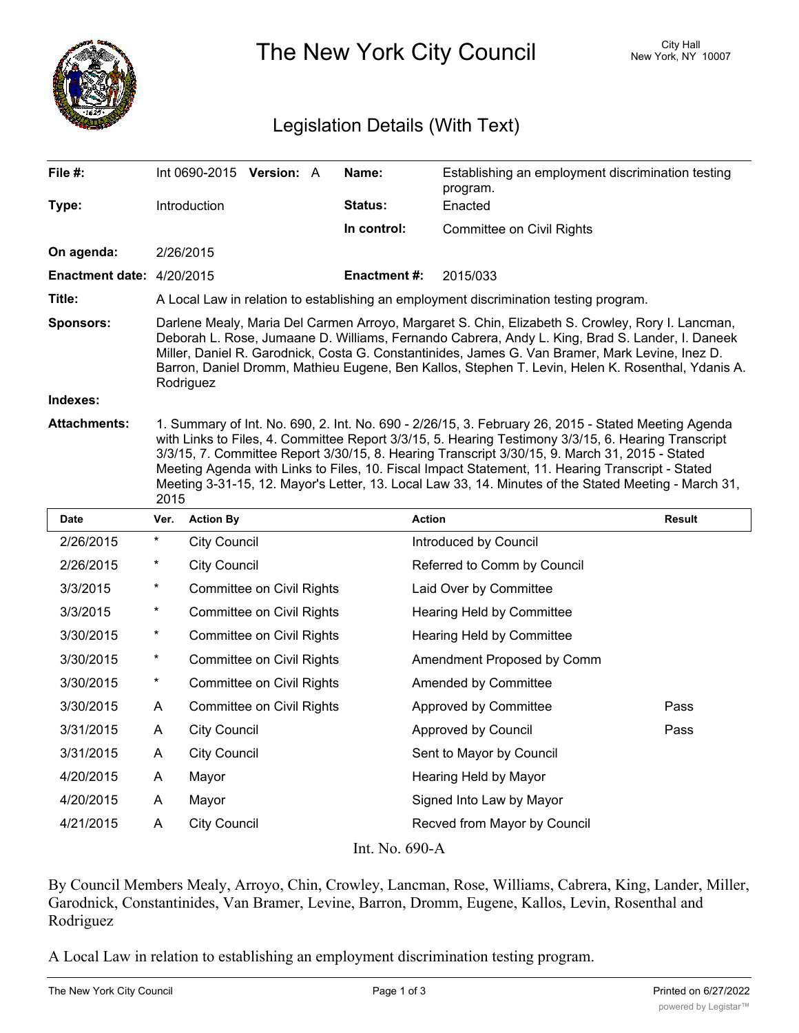

The New York City Council New York, NY 10007

## Legislation Details (With Text)

| File #:                                       | Int 0690-2015 Version: A                                                                                                                                                                                                                                                                                                                                                                                                                                                                                                         |  |  | Name:               | Establishing an employment discrimination testing<br>program. |  |  |
|-----------------------------------------------|----------------------------------------------------------------------------------------------------------------------------------------------------------------------------------------------------------------------------------------------------------------------------------------------------------------------------------------------------------------------------------------------------------------------------------------------------------------------------------------------------------------------------------|--|--|---------------------|---------------------------------------------------------------|--|--|
| Type:                                         | <b>Introduction</b>                                                                                                                                                                                                                                                                                                                                                                                                                                                                                                              |  |  | <b>Status:</b>      | Enacted                                                       |  |  |
|                                               |                                                                                                                                                                                                                                                                                                                                                                                                                                                                                                                                  |  |  | In control:         | Committee on Civil Rights                                     |  |  |
| On agenda:                                    | 2/26/2015                                                                                                                                                                                                                                                                                                                                                                                                                                                                                                                        |  |  |                     |                                                               |  |  |
| <b>Enactment date: <math>4/20/2015</math></b> |                                                                                                                                                                                                                                                                                                                                                                                                                                                                                                                                  |  |  | <b>Enactment #:</b> | 2015/033                                                      |  |  |
| Title:                                        | A Local Law in relation to establishing an employment discrimination testing program.                                                                                                                                                                                                                                                                                                                                                                                                                                            |  |  |                     |                                                               |  |  |
| <b>Sponsors:</b>                              | Darlene Mealy, Maria Del Carmen Arroyo, Margaret S. Chin, Elizabeth S. Crowley, Rory I. Lancman,<br>Deborah L. Rose, Jumaane D. Williams, Fernando Cabrera, Andy L. King, Brad S. Lander, I. Daneek<br>Miller, Daniel R. Garodnick, Costa G. Constantinides, James G. Van Bramer, Mark Levine, Inez D.<br>Barron, Daniel Dromm, Mathieu Eugene, Ben Kallos, Stephen T. Levin, Helen K. Rosenthal, Ydanis A.<br>Rodriguez                                                                                                         |  |  |                     |                                                               |  |  |
| Indexes:                                      |                                                                                                                                                                                                                                                                                                                                                                                                                                                                                                                                  |  |  |                     |                                                               |  |  |
| <b>Attachments:</b>                           | 1. Summary of Int. No. 690, 2. Int. No. 690 - 2/26/15, 3. February 26, 2015 - Stated Meeting Agenda<br>with Links to Files, 4. Committee Report 3/3/15, 5. Hearing Testimony 3/3/15, 6. Hearing Transcript<br>3/3/15, 7. Committee Report 3/30/15, 8. Hearing Transcript 3/30/15, 9. March 31, 2015 - Stated<br>Meeting Agenda with Links to Files, 10. Fiscal Impact Statement, 11. Hearing Transcript - Stated<br>Meeting 3-31-15, 12. Mayor's Letter, 13. Local Law 33, 14. Minutes of the Stated Meeting - March 31,<br>2015 |  |  |                     |                                                               |  |  |

| <b>Date</b>    | Ver.       | <b>Action By</b>                 | <b>Action</b>                | Result |  |  |  |  |
|----------------|------------|----------------------------------|------------------------------|--------|--|--|--|--|
| 2/26/2015      | *          | City Council                     | Introduced by Council        |        |  |  |  |  |
| 2/26/2015      | $^\star$   | <b>City Council</b>              | Referred to Comm by Council  |        |  |  |  |  |
| 3/3/2015       | $^{\star}$ | <b>Committee on Civil Rights</b> | Laid Over by Committee       |        |  |  |  |  |
| 3/3/2015       | $^\star$   | Committee on Civil Rights        | Hearing Held by Committee    |        |  |  |  |  |
| 3/30/2015      | $\star$    | <b>Committee on Civil Rights</b> | Hearing Held by Committee    |        |  |  |  |  |
| 3/30/2015      | $^{\star}$ | Committee on Civil Rights        | Amendment Proposed by Comm   |        |  |  |  |  |
| 3/30/2015      | $\star$    | <b>Committee on Civil Rights</b> | Amended by Committee         |        |  |  |  |  |
| 3/30/2015      | A          | <b>Committee on Civil Rights</b> | Approved by Committee        | Pass   |  |  |  |  |
| 3/31/2015      | A          | <b>City Council</b>              | Approved by Council          | Pass   |  |  |  |  |
| 3/31/2015      | A          | <b>City Council</b>              | Sent to Mayor by Council     |        |  |  |  |  |
| 4/20/2015      | A          | Mayor                            | Hearing Held by Mayor        |        |  |  |  |  |
| 4/20/2015      | A          | Mayor                            | Signed Into Law by Mayor     |        |  |  |  |  |
| 4/21/2015      | A          | <b>City Council</b>              | Recved from Mayor by Council |        |  |  |  |  |
| Int. No. 690-A |            |                                  |                              |        |  |  |  |  |

By Council Members Mealy, Arroyo, Chin, Crowley, Lancman, Rose, Williams, Cabrera, King, Lander, Miller, Garodnick, Constantinides, Van Bramer, Levine, Barron, Dromm, Eugene, Kallos, Levin, Rosenthal and Rodriguez

A Local Law in relation to establishing an employment discrimination testing program.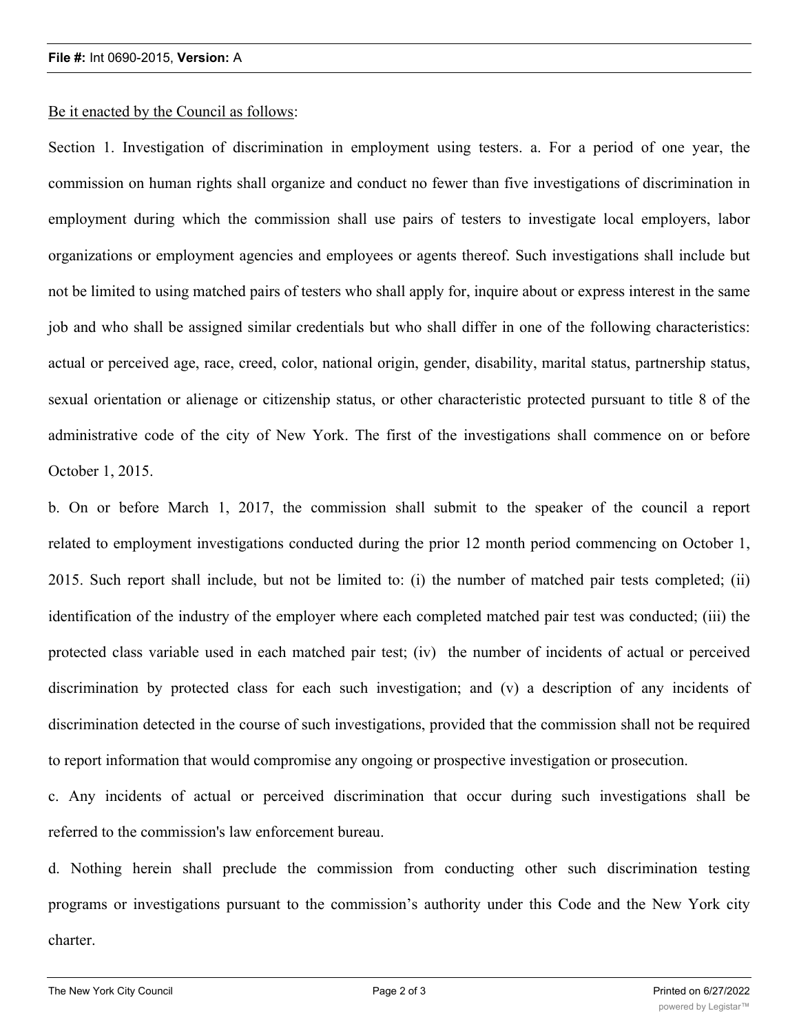## Be it enacted by the Council as follows:

Section 1. Investigation of discrimination in employment using testers. a. For a period of one year, the commission on human rights shall organize and conduct no fewer than five investigations of discrimination in employment during which the commission shall use pairs of testers to investigate local employers, labor organizations or employment agencies and employees or agents thereof. Such investigations shall include but not be limited to using matched pairs of testers who shall apply for, inquire about or express interest in the same job and who shall be assigned similar credentials but who shall differ in one of the following characteristics: actual or perceived age, race, creed, color, national origin, gender, disability, marital status, partnership status, sexual orientation or alienage or citizenship status, or other characteristic protected pursuant to title 8 of the administrative code of the city of New York. The first of the investigations shall commence on or before October 1, 2015.

b. On or before March 1, 2017, the commission shall submit to the speaker of the council a report related to employment investigations conducted during the prior 12 month period commencing on October 1, 2015. Such report shall include, but not be limited to: (i) the number of matched pair tests completed; (ii) identification of the industry of the employer where each completed matched pair test was conducted; (iii) the protected class variable used in each matched pair test; (iv) the number of incidents of actual or perceived discrimination by protected class for each such investigation; and (v) a description of any incidents of discrimination detected in the course of such investigations, provided that the commission shall not be required to report information that would compromise any ongoing or prospective investigation or prosecution.

c. Any incidents of actual or perceived discrimination that occur during such investigations shall be referred to the commission's law enforcement bureau.

d. Nothing herein shall preclude the commission from conducting other such discrimination testing programs or investigations pursuant to the commission's authority under this Code and the New York city charter.